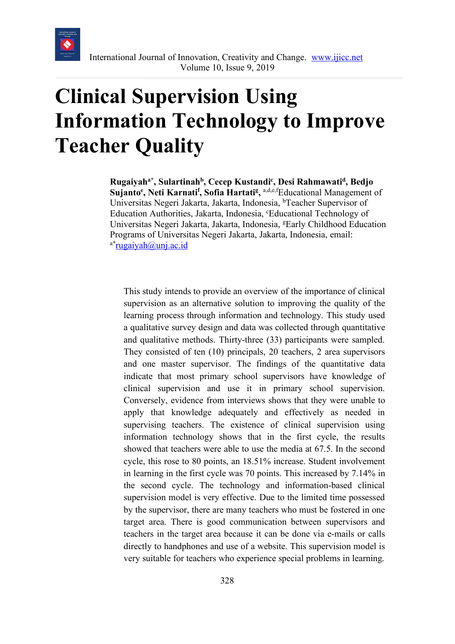

# **Clinical Supervision Using Information Technology to Improve Teacher Quality**

**Rugaiyaha\* , Sulartinahb, Cecep Kustandic , Desi Rahmawatid, Bedjo**  Sujanto<sup>e</sup>, Neti Karnati<sup>f</sup>, Sofia Hartati<sup>g</sup>, <sup>a,d,e,f</sup>Educational Management of Universitas Negeri Jakarta, Jakarta, Indonesia, <sup>b</sup>Teacher Supervisor of Education Authorities, Jakarta, Indonesia, 'Educational Technology of Universitas Negeri Jakarta, Jakarta, Indonesia, <sup>g</sup>Early Childhood Education Programs of Universitas Negeri Jakarta, Jakarta, Indonesia, email:  $a^*$ rugaiyah@unj.ac.id

This study intends to provide an overview of the importance of clinical supervision as an alternative solution to improving the quality of the learning process through information and technology. This study used a qualitative survey design and data was collected through quantitative and qualitative methods. Thirty-three (33) participants were sampled. They consisted of ten (10) principals, 20 teachers, 2 area supervisors and one master supervisor. The findings of the quantitative data indicate that most primary school supervisors have knowledge of clinical supervision and use it in primary school supervision. Conversely, evidence from interviews shows that they were unable to apply that knowledge adequately and effectively as needed in supervising teachers. The existence of clinical supervision using information technology shows that in the first cycle, the results showed that teachers were able to use the media at 67.5. In the second cycle, this rose to 80 points, an 18.51% increase. Student involvement in learning in the first cycle was 70 points. This increased by 7.14% in the second cycle. The technology and information-based clinical supervision model is very effective. Due to the limited time possessed by the supervisor, there are many teachers who must be fostered in one target area. There is good communication between supervisors and teachers in the target area because it can be done via e-mails or calls directly to handphones and use of a website. This supervision model is very suitable for teachers who experience special problems in learning.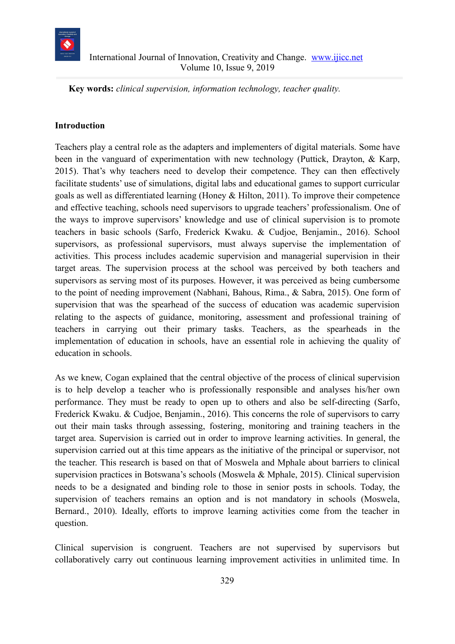

**Key words:** *clinical supervision, information technology, teacher quality.*

#### **Introduction**

Teachers play a central role as the adapters and implementers of digital materials. Some have been in the vanguard of experimentation with new technology (Puttick, Drayton, & Karp, 2015). That's why teachers need to develop their competence. They can then effectively facilitate students' use of simulations, digital labs and educational games to support curricular goals as well as differentiated learning (Honey & Hilton, 2011). To improve their competence and effective teaching, schools need supervisors to upgrade teachers' professionalism. One of the ways to improve supervisors' knowledge and use of clinical supervision is to promote teachers in basic schools (Sarfo, Frederick Kwaku. & Cudjoe, Benjamin., 2016). School supervisors, as professional supervisors, must always supervise the implementation of activities. This process includes academic supervision and managerial supervision in their target areas. The supervision process at the school was perceived by both teachers and supervisors as serving most of its purposes. However, it was perceived as being cumbersome to the point of needing improvement (Nabhani, Bahous, Rima., & Sabra, 2015). One form of supervision that was the spearhead of the success of education was academic supervision relating to the aspects of guidance, monitoring, assessment and professional training of teachers in carrying out their primary tasks. Teachers, as the spearheads in the implementation of education in schools, have an essential role in achieving the quality of education in schools.

As we knew, Cogan explained that the central objective of the process of clinical supervision is to help develop a teacher who is professionally responsible and analyses his/her own performance. They must be ready to open up to others and also be self-directing (Sarfo, Frederick Kwaku. & Cudjoe, Benjamin., 2016). This concerns the role of supervisors to carry out their main tasks through assessing, fostering, monitoring and training teachers in the target area. Supervision is carried out in order to improve learning activities. In general, the supervision carried out at this time appears as the initiative of the principal or supervisor, not the teacher. This research is based on that of Moswela and Mphale about barriers to clinical supervision practices in Botswana's schools (Moswela & Mphale, 2015). Clinical supervision needs to be a designated and binding role to those in senior posts in schools. Today, the supervision of teachers remains an option and is not mandatory in schools (Moswela, Bernard., 2010). Ideally, efforts to improve learning activities come from the teacher in question.

Clinical supervision is congruent. Teachers are not supervised by supervisors but collaboratively carry out continuous learning improvement activities in unlimited time. In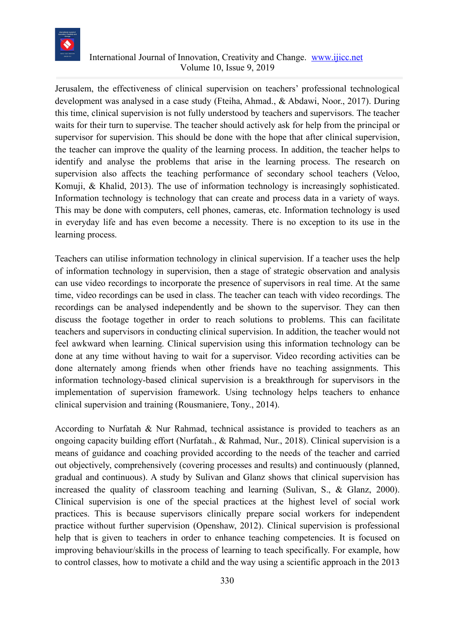

Jerusalem, the effectiveness of clinical supervision on teachers' professional technological development was analysed in a case study (Fteiha, Ahmad., & Abdawi, Noor., 2017). During this time, clinical supervision is not fully understood by teachers and supervisors. The teacher waits for their turn to supervise. The teacher should actively ask for help from the principal or supervisor for supervision. This should be done with the hope that after clinical supervision, the teacher can improve the quality of the learning process. In addition, the teacher helps to identify and analyse the problems that arise in the learning process. The research on supervision also affects the teaching performance of secondary school teachers (Veloo, Komuji, & Khalid, 2013). The use of information technology is increasingly sophisticated. Information technology is technology that can create and process data in a variety of ways. This may be done with computers, cell phones, cameras, etc. Information technology is used in everyday life and has even become a necessity. There is no exception to its use in the learning process.

Teachers can utilise information technology in clinical supervision. If a teacher uses the help of information technology in supervision, then a stage of strategic observation and analysis can use video recordings to incorporate the presence of supervisors in real time. At the same time, video recordings can be used in class. The teacher can teach with video recordings. The recordings can be analysed independently and be shown to the supervisor. They can then discuss the footage together in order to reach solutions to problems. This can facilitate teachers and supervisors in conducting clinical supervision. In addition, the teacher would not feel awkward when learning. Clinical supervision using this information technology can be done at any time without having to wait for a supervisor. Video recording activities can be done alternately among friends when other friends have no teaching assignments. This information technology-based clinical supervision is a breakthrough for supervisors in the implementation of supervision framework. Using technology helps teachers to enhance clinical supervision and training (Rousmaniere, Tony., 2014).

According to Nurfatah & Nur Rahmad, technical assistance is provided to teachers as an ongoing capacity building effort (Nurfatah., & Rahmad, Nur., 2018). Clinical supervision is a means of guidance and coaching provided according to the needs of the teacher and carried out objectively, comprehensively (covering processes and results) and continuously (planned, gradual and continuous). A study by Sulivan and Glanz shows that clinical supervision has increased the quality of classroom teaching and learning (Sulivan, S., & Glanz, 2000). Clinical supervision is one of the special practices at the highest level of social work practices. This is because supervisors clinically prepare social workers for independent practice without further supervision (Openshaw, 2012). Clinical supervision is professional help that is given to teachers in order to enhance teaching competencies. It is focused on improving behaviour/skills in the process of learning to teach specifically. For example, how to control classes, how to motivate a child and the way using a scientific approach in the 2013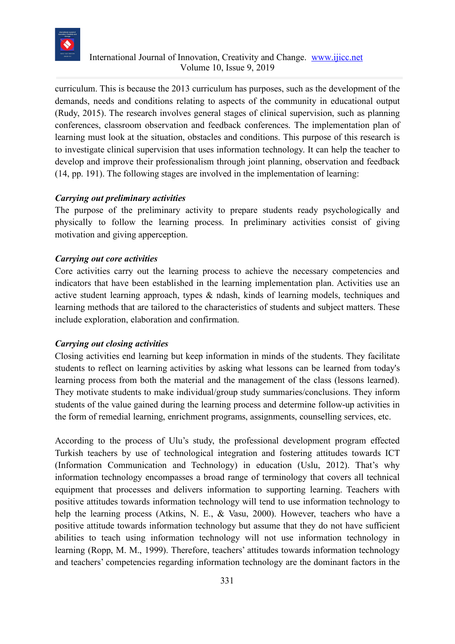

curriculum. This is because the 2013 curriculum has purposes, such as the development of the demands, needs and conditions relating to aspects of the community in educational output (Rudy, 2015). The research involves general stages of clinical supervision, such as planning conferences, classroom observation and feedback conferences. The implementation plan of learning must look at the situation, obstacles and conditions. This purpose of this research is to investigate clinical supervision that uses information technology. It can help the teacher to develop and improve their professionalism through joint planning, observation and feedback (14, pp. 191). The following stages are involved in the implementation of learning:

#### *Carrying out preliminary activities*

The purpose of the preliminary activity to prepare students ready psychologically and physically to follow the learning process. In preliminary activities consist of giving motivation and giving apperception.

## *Carrying out core activities*

Core activities carry out the learning process to achieve the necessary competencies and indicators that have been established in the learning implementation plan. Activities use an active student learning approach, types & ndash, kinds of learning models, techniques and learning methods that are tailored to the characteristics of students and subject matters. These include exploration, elaboration and confirmation.

#### *Carrying out closing activities*

Closing activities end learning but keep information in minds of the students. They facilitate students to reflect on learning activities by asking what lessons can be learned from today's learning process from both the material and the management of the class (lessons learned). They motivate students to make individual/group study summaries/conclusions. They inform students of the value gained during the learning process and determine follow-up activities in the form of remedial learning, enrichment programs, assignments, counselling services, etc.

According to the process of Ulu's study, the professional development program effected Turkish teachers by use of technological integration and fostering attitudes towards ICT (Information Communication and Technology) in education (Uslu, 2012). That's why information technology encompasses a broad range of terminology that covers all technical equipment that processes and delivers information to supporting learning. Teachers with positive attitudes towards information technology will tend to use information technology to help the learning process (Atkins, N. E., & Vasu, 2000). However, teachers who have a positive attitude towards information technology but assume that they do not have sufficient abilities to teach using information technology will not use information technology in learning (Ropp, M. M., 1999). Therefore, teachers' attitudes towards information technology and teachers' competencies regarding information technology are the dominant factors in the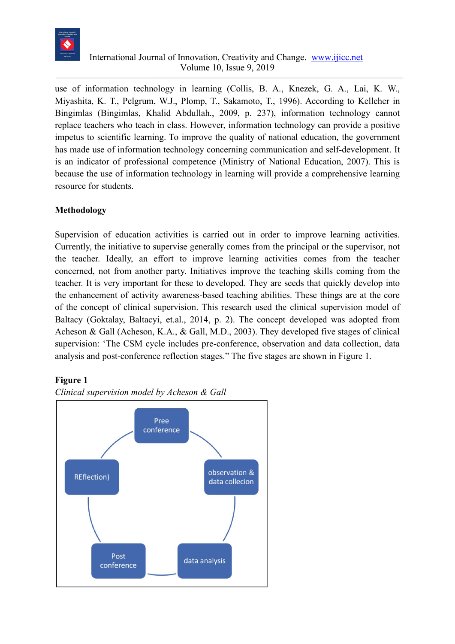

use of information technology in learning (Collis, B. A., Knezek, G. A., Lai, K. W., Miyashita, K. T., Pelgrum, W.J., Plomp, T., Sakamoto, T., 1996). According to Kelleher in Bingimlas (Bingimlas, Khalid Abdullah., 2009, p. 237), information technology cannot replace teachers who teach in class. However, information technology can provide a positive impetus to scientific learning. To improve the quality of national education, the government has made use of information technology concerning communication and self-development. It is an indicator of professional competence (Ministry of National Education, 2007). This is because the use of information technology in learning will provide a comprehensive learning resource for students.

# **Methodology**

Supervision of education activities is carried out in order to improve learning activities. Currently, the initiative to supervise generally comes from the principal or the supervisor, not the teacher. Ideally, an effort to improve learning activities comes from the teacher concerned, not from another party. Initiatives improve the teaching skills coming from the teacher. It is very important for these to developed. They are seeds that quickly develop into the enhancement of activity awareness-based teaching abilities. These things are at the core of the concept of clinical supervision. This research used the clinical supervision model of Baltacy (Goktalay, Baltacyi, et.al., 2014, p. 2). The concept developed was adopted from Acheson & Gall (Acheson, K.A., & Gall, M.D., 2003). They developed five stages of clinical supervision: 'The CSM cycle includes pre-conference, observation and data collection, data analysis and post-conference reflection stages." The five stages are shown in Figure 1.

#### **Figure 1**



*Clinical supervision model by Acheson & Gall*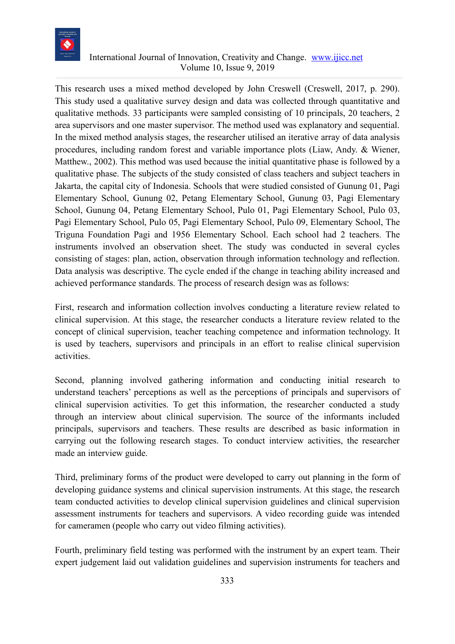

This research uses a mixed method developed by John Creswell (Creswell, 2017, p. 290). This study used a qualitative survey design and data was collected through quantitative and qualitative methods. 33 participants were sampled consisting of 10 principals, 20 teachers, 2 area supervisors and one master supervisor. The method used was explanatory and sequential. In the mixed method analysis stages, the researcher utilised an iterative array of data analysis procedures, including random forest and variable importance plots (Liaw, Andy. & Wiener, Matthew., 2002). This method was used because the initial quantitative phase is followed by a qualitative phase. The subjects of the study consisted of class teachers and subject teachers in Jakarta, the capital city of Indonesia. Schools that were studied consisted of Gunung 01, Pagi Elementary School, Gunung 02, Petang Elementary School, Gunung 03, Pagi Elementary School, Gunung 04, Petang Elementary School, Pulo 01, Pagi Elementary School, Pulo 03, Pagi Elementary School, Pulo 05, Pagi Elementary School, Pulo 09, Elementary School, The Triguna Foundation Pagi and 1956 Elementary School. Each school had 2 teachers. The instruments involved an observation sheet. The study was conducted in several cycles consisting of stages: plan, action, observation through information technology and reflection. Data analysis was descriptive. The cycle ended if the change in teaching ability increased and achieved performance standards. The process of research design was as follows:

First, research and information collection involves conducting a literature review related to clinical supervision. At this stage, the researcher conducts a literature review related to the concept of clinical supervision, teacher teaching competence and information technology. It is used by teachers, supervisors and principals in an effort to realise clinical supervision activities.

Second, planning involved gathering information and conducting initial research to understand teachers' perceptions as well as the perceptions of principals and supervisors of clinical supervision activities. To get this information, the researcher conducted a study through an interview about clinical supervision. The source of the informants included principals, supervisors and teachers. These results are described as basic information in carrying out the following research stages. To conduct interview activities, the researcher made an interview guide.

Third, preliminary forms of the product were developed to carry out planning in the form of developing guidance systems and clinical supervision instruments. At this stage, the research team conducted activities to develop clinical supervision guidelines and clinical supervision assessment instruments for teachers and supervisors. A video recording guide was intended for cameramen (people who carry out video filming activities).

Fourth, preliminary field testing was performed with the instrument by an expert team. Their expert judgement laid out validation guidelines and supervision instruments for teachers and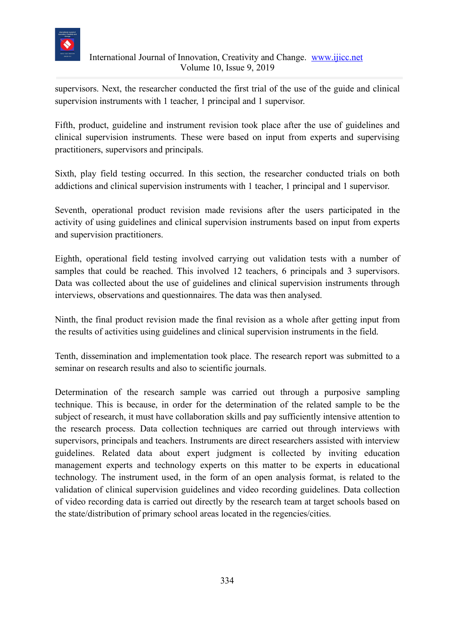

supervisors. Next, the researcher conducted the first trial of the use of the guide and clinical supervision instruments with 1 teacher, 1 principal and 1 supervisor.

Fifth, product, guideline and instrument revision took place after the use of guidelines and clinical supervision instruments. These were based on input from experts and supervising practitioners, supervisors and principals.

Sixth, play field testing occurred. In this section, the researcher conducted trials on both addictions and clinical supervision instruments with 1 teacher, 1 principal and 1 supervisor.

Seventh, operational product revision made revisions after the users participated in the activity of using guidelines and clinical supervision instruments based on input from experts and supervision practitioners.

Eighth, operational field testing involved carrying out validation tests with a number of samples that could be reached. This involved 12 teachers, 6 principals and 3 supervisors. Data was collected about the use of guidelines and clinical supervision instruments through interviews, observations and questionnaires. The data was then analysed.

Ninth, the final product revision made the final revision as a whole after getting input from the results of activities using guidelines and clinical supervision instruments in the field.

Tenth, dissemination and implementation took place. The research report was submitted to a seminar on research results and also to scientific journals.

Determination of the research sample was carried out through a purposive sampling technique. This is because, in order for the determination of the related sample to be the subject of research, it must have collaboration skills and pay sufficiently intensive attention to the research process. Data collection techniques are carried out through interviews with supervisors, principals and teachers. Instruments are direct researchers assisted with interview guidelines. Related data about expert judgment is collected by inviting education management experts and technology experts on this matter to be experts in educational technology. The instrument used, in the form of an open analysis format, is related to the validation of clinical supervision guidelines and video recording guidelines. Data collection of video recording data is carried out directly by the research team at target schools based on the state/distribution of primary school areas located in the regencies/cities.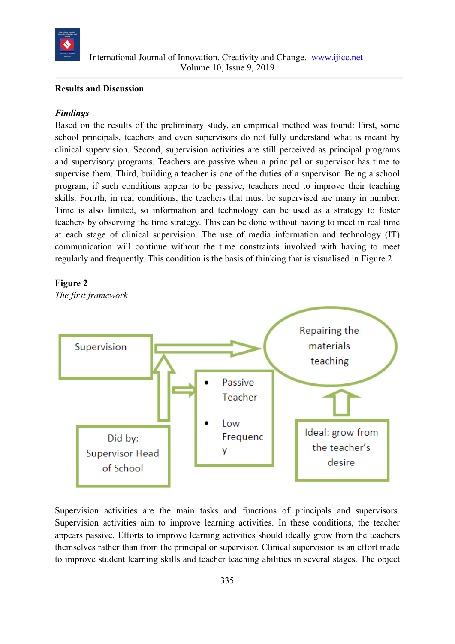

#### **Results and Discussion**

#### *Findings*

Based on the results of the preliminary study, an empirical method was found: First, some school principals, teachers and even supervisors do not fully understand what is meant by clinical supervision. Second, supervision activities are still perceived as principal programs and supervisory programs. Teachers are passive when a principal or supervisor has time to supervise them. Third, building a teacher is one of the duties of a supervisor. Being a school program, if such conditions appear to be passive, teachers need to improve their teaching skills. Fourth, in real conditions, the teachers that must be supervised are many in number. Time is also limited, so information and technology can be used as a strategy to foster teachers by observing the time strategy. This can be done without having to meet in real time at each stage of clinical supervision. The use of media information and technology (IT) communication will continue without the time constraints involved with having to meet regularly and frequently. This condition is the basis of thinking that is visualised in Figure 2.



*The first framework*



Supervision activities are the main tasks and functions of principals and supervisors. Supervision activities aim to improve learning activities. In these conditions, the teacher appears passive. Efforts to improve learning activities should ideally grow from the teachers themselves rather than from the principal or supervisor. Clinical supervision is an effort made to improve student learning skills and teacher teaching abilities in several stages. The object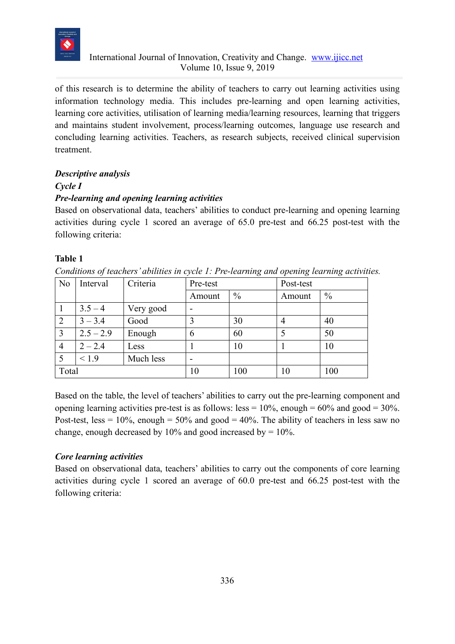

of this research is to determine the ability of teachers to carry out learning activities using information technology media. This includes pre-learning and open learning activities, learning core activities, utilisation of learning media/learning resources, learning that triggers and maintains student involvement, process/learning outcomes, language use research and concluding learning activities. Teachers, as research subjects, received clinical supervision treatment.

# *Descriptive analysis*

# *Cycle I*

# *Pre-learning and opening learning activities*

Based on observational data, teachers' abilities to conduct pre-learning and opening learning activities during cycle 1 scored an average of 65.0 pre-test and 66.25 post-test with the following criteria:

# **Table 1**

*Conditions of teachers' abilities in cycle 1: Pre-learning and opening learning activities.* 

| N <sub>0</sub> | Interval    | Criteria  | Pre-test |               | Post-test      |               |
|----------------|-------------|-----------|----------|---------------|----------------|---------------|
|                |             |           | Amount   | $\frac{0}{0}$ | Amount         | $\frac{0}{0}$ |
|                | $3.5 - 4$   | Very good |          |               |                |               |
|                | $3 - 3.4$   | Good      |          | 30            | $\overline{4}$ | 40            |
| 3              | $2.5 - 2.9$ | Enough    | 6        | 60            |                | 50            |
| $\overline{4}$ | $2 - 2.4$   | Less      |          | 10            |                | 10            |
|                | 1.9         | Much less |          |               |                |               |
| Total          |             | 10        | 100      | 10            | 100            |               |

Based on the table, the level of teachers' abilities to carry out the pre-learning component and opening learning activities pre-test is as follows: less =  $10\%$ , enough =  $60\%$  and good =  $30\%$ . Post-test, less =  $10\%$ , enough =  $50\%$  and good =  $40\%$ . The ability of teachers in less saw no change, enough decreased by  $10\%$  and good increased by  $= 10\%$ .

# *Core learning activities*

Based on observational data, teachers' abilities to carry out the components of core learning activities during cycle 1 scored an average of 60.0 pre-test and 66.25 post-test with the following criteria: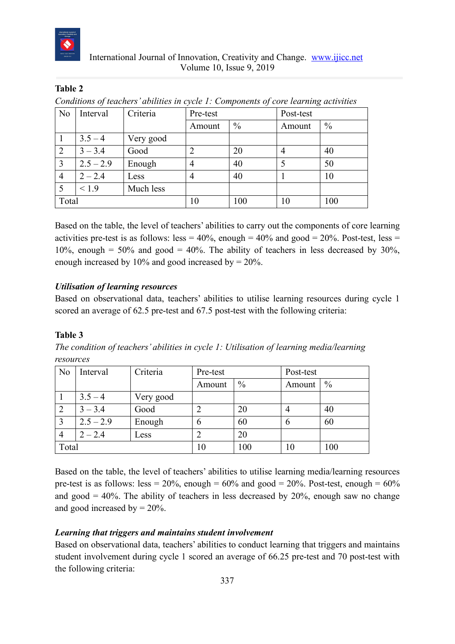

# **Table 2**

| Conditions of teachers' abilities in cycle 1: Components of core learning activities |  |  |  |
|--------------------------------------------------------------------------------------|--|--|--|

| N <sub>o</sub> | Interval    | Criteria  | Pre-test |               | Post-test |               |
|----------------|-------------|-----------|----------|---------------|-----------|---------------|
|                |             |           | Amount   | $\frac{0}{0}$ | Amount    | $\frac{0}{0}$ |
|                | $3.5 - 4$   | Very good |          |               |           |               |
| 2              | $3 - 3.4$   | Good      |          | 20            | 4         | 40            |
| 3              | $2.5 - 2.9$ | Enough    | 4        | 40            |           | 50            |
| 4              | $2 - 2.4$   | Less      | 4        | 40            |           | 10            |
| 5              | < 1.9       | Much less |          |               |           |               |
| Total          |             |           | 10       | 100           | 10        | 100           |

Based on the table, the level of teachers' abilities to carry out the components of core learning activities pre-test is as follows: less =  $40\%$ , enough =  $40\%$  and good =  $20\%$ . Post-test, less =  $10\%$ , enough = 50% and good = 40%. The ability of teachers in less decreased by 30%, enough increased by  $10\%$  and good increased by  $= 20\%$ .

## *Utilisation of learning resources*

Based on observational data, teachers' abilities to utilise learning resources during cycle 1 scored an average of 62.5 pre-test and 67.5 post-test with the following criteria:

# **Table 3**

*The condition of teachers' abilities in cycle 1: Utilisation of learning media/learning resources*

| N <sub>o</sub> | Interval    | Criteria  | Pre-test |      |        | Post-test     |  |
|----------------|-------------|-----------|----------|------|--------|---------------|--|
|                |             |           | Amount   | $\%$ | Amount | $\frac{0}{0}$ |  |
|                | $3.5 - 4$   | Very good |          |      |        |               |  |
| $\overline{2}$ | $3 - 3.4$   | Good      |          | 20   |        | 40            |  |
| 3              | $2.5 - 2.9$ | Enough    | 6        | 60   | b      | 60            |  |
| 4              | $2 - 2.4$   | Less      |          | 20   |        |               |  |
| Total          |             |           | 10       | 100  | 10     | 100           |  |

Based on the table, the level of teachers' abilities to utilise learning media/learning resources pre-test is as follows: less =  $20\%$ , enough =  $60\%$  and good =  $20\%$ . Post-test, enough =  $60\%$ and good  $= 40\%$ . The ability of teachers in less decreased by 20%, enough saw no change and good increased by  $= 20\%$ .

# *Learning that triggers and maintains student involvement*

Based on observational data, teachers' abilities to conduct learning that triggers and maintains student involvement during cycle 1 scored an average of 66.25 pre-test and 70 post-test with the following criteria: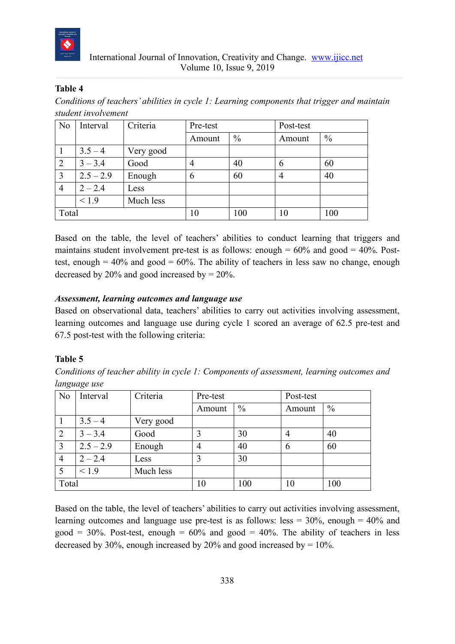

## **Table 4**

*Conditions of teachers' abilities in cycle 1: Learning components that trigger and maintain student involvement*

| N <sub>0</sub> | Interval    | Criteria  | Pre-test |               | Post-test |               |
|----------------|-------------|-----------|----------|---------------|-----------|---------------|
|                |             |           | Amount   | $\frac{0}{0}$ | Amount    | $\frac{0}{0}$ |
|                | $3.5 - 4$   | Very good |          |               |           |               |
| 2              | $3 - 3.4$   | Good      | 4        | 40            | 6         | 60            |
| 3              | $2.5 - 2.9$ | Enough    | 6        | 60            | 4         | 40            |
| $\overline{4}$ | $2 - 2.4$   | Less      |          |               |           |               |
|                | 1.9         | Much less |          |               |           |               |
| Total          |             |           | 10       | 100           | 10        | 100           |

Based on the table, the level of teachers' abilities to conduct learning that triggers and maintains student involvement pre-test is as follows: enough  $= 60\%$  and good  $= 40\%$ . Posttest, enough  $= 40\%$  and good  $= 60\%$ . The ability of teachers in less saw no change, enough decreased by 20% and good increased by  $= 20\%$ .

## *Assessment, learning outcomes and language use*

Based on observational data, teachers' abilities to carry out activities involving assessment, learning outcomes and language use during cycle 1 scored an average of 62.5 pre-test and 67.5 post-test with the following criteria:

# **Table 5**

*Conditions of teacher ability in cycle 1: Components of assessment, learning outcomes and language use*

| N <sub>o</sub> | Interval    | Criteria  | Pre-test |               | Post-test |               |
|----------------|-------------|-----------|----------|---------------|-----------|---------------|
|                |             |           | Amount   | $\frac{0}{0}$ | Amount    | $\frac{0}{0}$ |
|                | $3.5 - 4$   | Very good |          |               |           |               |
| $\overline{2}$ | $3 - 3.4$   | Good      | 3        | 30            | 4         | 40            |
| 3              | $2.5 - 2.9$ | Enough    | 4        | 40            | 6         | 60            |
| $\overline{4}$ | $2 - 2.4$   | Less      | 3        | 30            |           |               |
|                | < 1.9       | Much less |          |               |           |               |
| Total          |             |           | 10       | 100           | 10        | 100           |

Based on the table, the level of teachers' abilities to carry out activities involving assessment, learning outcomes and language use pre-test is as follows: less  $= 30\%$ , enough  $= 40\%$  and good =  $30\%$ . Post-test, enough =  $60\%$  and good =  $40\%$ . The ability of teachers in less decreased by 30%, enough increased by 20% and good increased by  $= 10\%$ .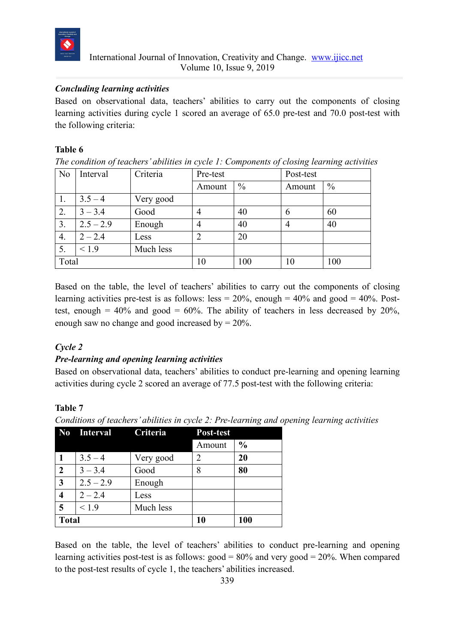

## *Concluding learning activities*

Based on observational data, teachers' abilities to carry out the components of closing learning activities during cycle 1 scored an average of 65.0 pre-test and 70.0 post-test with the following criteria:

#### **Table 6**

*The condition of teachers' abilities in cycle 1: Components of closing learning activities*

| N <sub>o</sub> | Interval    | Criteria  | Pre-test |               | Post-test |               |
|----------------|-------------|-----------|----------|---------------|-----------|---------------|
|                |             |           | Amount   | $\frac{0}{0}$ | Amount    | $\frac{0}{0}$ |
| Ι.             | $3.5 - 4$   | Very good |          |               |           |               |
| 2.             | $3 - 3.4$   | Good      |          | 40            | 6         | 60            |
| 3.             | $2.5 - 2.9$ | Enough    |          | 40            | 4         | 40            |
| 4.             | $2 - 2.4$   | Less      | 2        | 20            |           |               |
| 5.             | < 1.9       | Much less |          |               |           |               |
| Total          |             | 10        | 100      | 10            | 100       |               |

Based on the table, the level of teachers' abilities to carry out the components of closing learning activities pre-test is as follows: less =  $20\%$ , enough =  $40\%$  and good =  $40\%$ . Posttest, enough  $= 40\%$  and good  $= 60\%$ . The ability of teachers in less decreased by 20%, enough saw no change and good increased by  $= 20\%$ .

# *Cycle 2*

# *Pre-learning and opening learning activities*

Based on observational data, teachers' abilities to conduct pre-learning and opening learning activities during cycle 2 scored an average of 77.5 post-test with the following criteria:

# **Table 7**

*Conditions of teachers' abilities in cycle 2: Pre-learning and opening learning activities* 

|                  | No Interval Criteria |           | Post-test |               |
|------------------|----------------------|-----------|-----------|---------------|
|                  |                      |           | Amount    | $\frac{0}{0}$ |
|                  | $3.5 - 4$            | Very good | 2         | 20            |
| $\boldsymbol{2}$ | $3 - 3.4$            | Good      | 8         | 80            |
| $\mathbf{3}$     | $2.5 - 2.9$          | Enough    |           |               |
| 4                | $2 - 2.4$            | Less      |           |               |
| 5                | < 1.9                | Much less |           |               |
| <b>Total</b>     |                      |           | 10        | 100           |

Based on the table, the level of teachers' abilities to conduct pre-learning and opening learning activities post-test is as follows: good =  $80\%$  and very good =  $20\%$ . When compared to the post-test results of cycle 1, the teachers' abilities increased.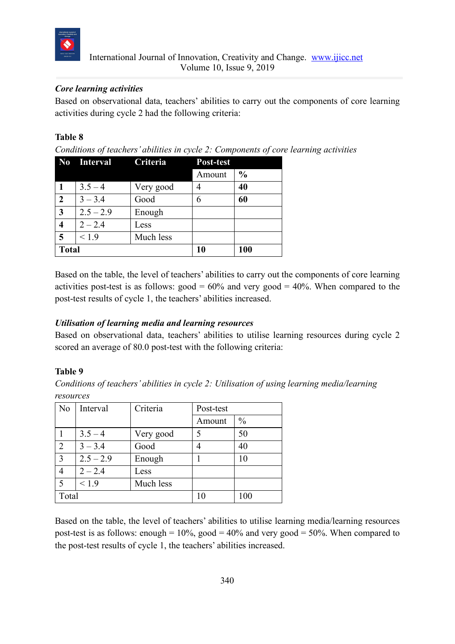

## *Core learning activities*

Based on observational data, teachers' abilities to carry out the components of core learning activities during cycle 2 had the following criteria:

## **Table 8**

*Conditions of teachers' abilities in cycle 2: Components of core learning activities*

|                         | No Interval Criteria |           | <b>Post-test</b> |               |
|-------------------------|----------------------|-----------|------------------|---------------|
|                         |                      |           | Amount           | $\frac{0}{0}$ |
|                         | $3.5 - 4$            | Very good |                  | 40            |
| $\overline{2}$          | $3 - 3.4$            | Good      | 6                | 60            |
| $\overline{\mathbf{3}}$ | $2.5 - 2.9$          | Enough    |                  |               |
| $\overline{\mathbf{4}}$ | $2 - 2.4$            | Less      |                  |               |
| 5                       | < 1.9                | Much less |                  |               |
| <b>Total</b>            |                      |           | 10               | 100           |

Based on the table, the level of teachers' abilities to carry out the components of core learning activities post-test is as follows:  $\text{good} = 60\%$  and very  $\text{good} = 40\%$ . When compared to the post-test results of cycle 1, the teachers' abilities increased.

# *Utilisation of learning media and learning resources*

Based on observational data, teachers' abilities to utilise learning resources during cycle 2 scored an average of 80.0 post-test with the following criteria:

# **Table 9**

*Conditions of teachers' abilities in cycle 2: Utilisation of using learning media/learning resources*

| N <sub>0</sub> | Interval    | Criteria  | Post-test |               |
|----------------|-------------|-----------|-----------|---------------|
|                |             |           | Amount    | $\frac{0}{0}$ |
|                | $3.5 - 4$   | Very good |           | 50            |
| $\overline{2}$ | $3 - 3.4$   | Good      |           | 40            |
| $\overline{3}$ | $2.5 - 2.9$ | Enough    |           | 10            |
| 4              | $2 - 2.4$   | Less      |           |               |
| 5              | < 1.9       | Much less |           |               |
|                | Total       |           |           | 100           |

Based on the table, the level of teachers' abilities to utilise learning media/learning resources post-test is as follows: enough =  $10\%$ , good =  $40\%$  and very good =  $50\%$ . When compared to the post-test results of cycle 1, the teachers' abilities increased.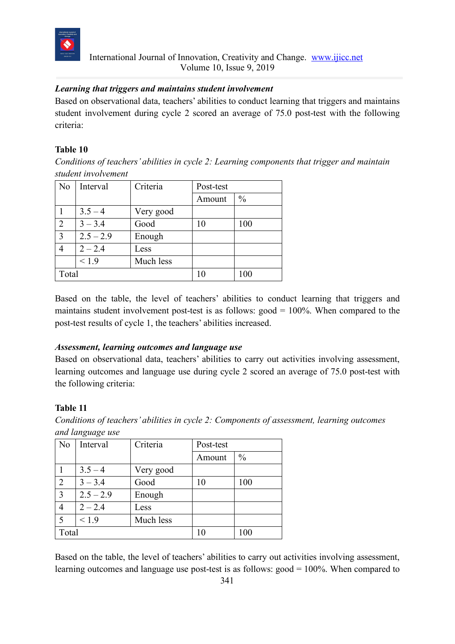

## *Learning that triggers and maintains student involvement*

Based on observational data, teachers' abilities to conduct learning that triggers and maintains student involvement during cycle 2 scored an average of 75.0 post-test with the following criteria:

#### **Table 10**

*Conditions of teachers' abilities in cycle 2: Learning components that trigger and maintain student involvement*

| N <sub>o</sub> | Interval      | Criteria  | Post-test |               |
|----------------|---------------|-----------|-----------|---------------|
|                |               |           | Amount    | $\frac{0}{0}$ |
|                | $3.5 - 4$     | Very good |           |               |
| $\overline{2}$ | $3 - 3.4$     | Good      | 10        | 100           |
| 3              | $2.5 - 2.9$   | Enough    |           |               |
| 4              | $2 - 2.4$     | Less      |           |               |
|                | ${}_{&}<$ 1.9 | Much less |           |               |
| Total          |               |           | 10        | 100           |

Based on the table, the level of teachers' abilities to conduct learning that triggers and maintains student involvement post-test is as follows:  $\text{good} = 100\%$ . When compared to the post-test results of cycle 1, the teachers' abilities increased.

#### *Assessment, learning outcomes and language use*

Based on observational data, teachers' abilities to carry out activities involving assessment, learning outcomes and language use during cycle 2 scored an average of 75.0 post-test with the following criteria:

#### **Table 11**

*Conditions of teachers' abilities in cycle 2: Components of assessment, learning outcomes and language use*

| N <sub>0</sub> | Interval    | Criteria  | Post-test |               |
|----------------|-------------|-----------|-----------|---------------|
|                |             |           | Amount    | $\frac{0}{0}$ |
|                | $3.5 - 4$   | Very good |           |               |
| $\overline{2}$ | $3 - 3.4$   | Good      | 10        | 100           |
| $\overline{3}$ | $2.5 - 2.9$ | Enough    |           |               |
| $\overline{4}$ | $2 - 2.4$   | Less      |           |               |
| 5              | < 1.9       | Much less |           |               |
| Total          |             |           | 10        | 100           |

Based on the table, the level of teachers' abilities to carry out activities involving assessment, learning outcomes and language use post-test is as follows: good = 100%. When compared to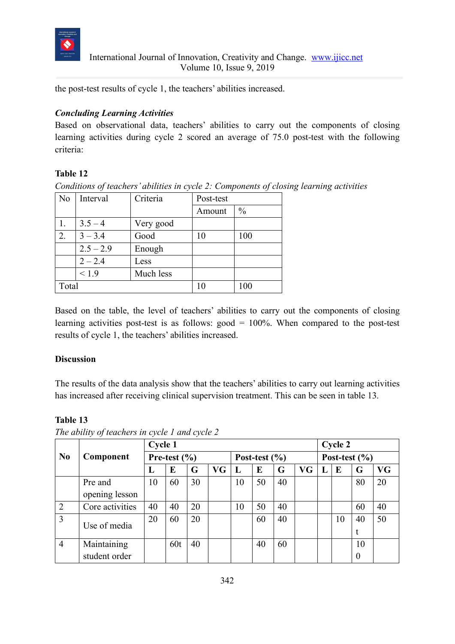

the post-test results of cycle 1, the teachers' abilities increased.

# *Concluding Learning Activities*

Based on observational data, teachers' abilities to carry out the components of closing learning activities during cycle 2 scored an average of 75.0 post-test with the following criteria:

# **Table 12**

*Conditions of teachers' abilities in cycle 2: Components of closing learning activities*

| N <sub>o</sub> | Interval    | Criteria  | Post-test |               |
|----------------|-------------|-----------|-----------|---------------|
|                |             |           | Amount    | $\frac{0}{0}$ |
|                | $3.5 - 4$   | Very good |           |               |
| 2.             | $3 - 3.4$   | Good      | 10        | 100           |
|                | $2.5 - 2.9$ | Enough    |           |               |
|                | $2 - 2.4$   | Less      |           |               |
|                | ${}_{<1.9}$ | Much less |           |               |
| Total          |             | 10        | 100       |               |

Based on the table, the level of teachers' abilities to carry out the components of closing learning activities post-test is as follows: good = 100%. When compared to the post-test results of cycle 1, the teachers' abilities increased.

# **Discussion**

The results of the data analysis show that the teachers' abilities to carry out learning activities has increased after receiving clinical supervision treatment. This can be seen in table 13.

# **Table 13**

|                |                 | <b>Cycle 1</b>   |     |    |           |                   |    |    |           | Cycle 2           |    |          |           |
|----------------|-----------------|------------------|-----|----|-----------|-------------------|----|----|-----------|-------------------|----|----------|-----------|
| No             | Component       | Pre-test $(\% )$ |     |    |           | Post-test $(\% )$ |    |    |           | Post-test $(\% )$ |    |          |           |
|                |                 | п.               | E   | G  | <b>VG</b> | L                 | E  | G  | <b>VG</b> | L                 | E  | G        | <b>VG</b> |
|                | Pre and         | 10               | 60  | 30 |           | 10                | 50 | 40 |           |                   |    | 80       | 20        |
|                | opening lesson  |                  |     |    |           |                   |    |    |           |                   |    |          |           |
| $\overline{2}$ | Core activities | 40               | 40  | 20 |           | 10                | 50 | 40 |           |                   |    | 60       | 40        |
| 3              | Use of media    | 20               | 60  | 20 |           |                   | 60 | 40 |           |                   | 10 | 40       | 50        |
|                |                 |                  |     |    |           |                   |    |    |           |                   |    | t        |           |
| $\overline{4}$ | Maintaining     |                  | 60t | 40 |           |                   | 40 | 60 |           |                   |    | 10       |           |
|                | student order   |                  |     |    |           |                   |    |    |           |                   |    | $\theta$ |           |

*The ability of teachers in cycle 1 and cycle 2*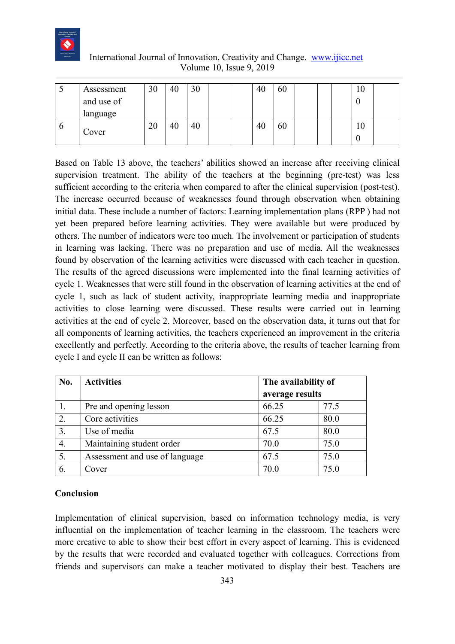

| دید | Assessment<br>and use of<br>language | 30 | 40 | 30 |  | 40 | 60 |  | 1 V<br>w., |  |
|-----|--------------------------------------|----|----|----|--|----|----|--|------------|--|
| v   | Cover                                | ∠∪ | 40 | 40 |  | 40 | 60 |  | 1 U        |  |

Based on Table 13 above, the teachers' abilities showed an increase after receiving clinical supervision treatment. The ability of the teachers at the beginning (pre-test) was less sufficient according to the criteria when compared to after the clinical supervision (post-test). The increase occurred because of weaknesses found through observation when obtaining initial data. These include a number of factors: Learning implementation plans (RPP ) had not yet been prepared before learning activities. They were available but were produced by others. The number of indicators were too much. The involvement or participation of students in learning was lacking. There was no preparation and use of media. All the weaknesses found by observation of the learning activities were discussed with each teacher in question. The results of the agreed discussions were implemented into the final learning activities of cycle 1. Weaknesses that were still found in the observation of learning activities at the end of cycle 1, such as lack of student activity, inappropriate learning media and inappropriate activities to close learning were discussed. These results were carried out in learning activities at the end of cycle 2. Moreover, based on the observation data, it turns out that for all components of learning activities, the teachers experienced an improvement in the criteria excellently and perfectly. According to the criteria above, the results of teacher learning from cycle I and cycle II can be written as follows:

| No. | <b>Activities</b>              | The availability of |      |  |  |  |
|-----|--------------------------------|---------------------|------|--|--|--|
|     |                                | average results     |      |  |  |  |
|     | Pre and opening lesson         | 66.25               | 77.5 |  |  |  |
| 2.  | Core activities                | 66.25               | 80.0 |  |  |  |
| 3.  | Use of media                   | 67.5                | 80.0 |  |  |  |
| 4.  | Maintaining student order      | 70.0                | 75.0 |  |  |  |
| 5.  | Assessment and use of language | 67.5                | 75.0 |  |  |  |
| 6.  | Cover                          | 70.0                | 75.0 |  |  |  |

#### **Conclusion**

Implementation of clinical supervision, based on information technology media, is very influential on the implementation of teacher learning in the classroom. The teachers were more creative to able to show their best effort in every aspect of learning. This is evidenced by the results that were recorded and evaluated together with colleagues. Corrections from friends and supervisors can make a teacher motivated to display their best. Teachers are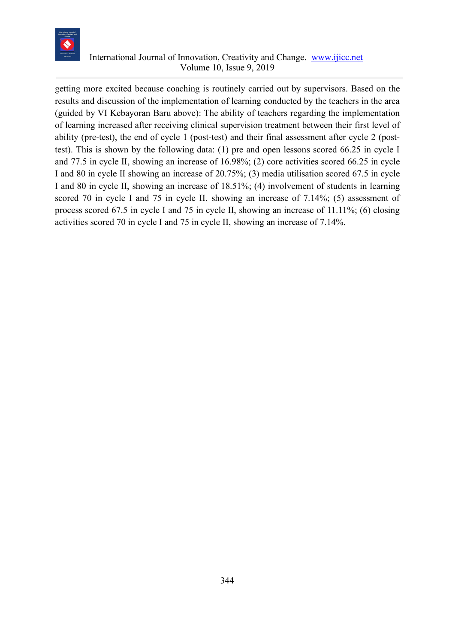

getting more excited because coaching is routinely carried out by supervisors. Based on the results and discussion of the implementation of learning conducted by the teachers in the area (guided by VI Kebayoran Baru above): The ability of teachers regarding the implementation of learning increased after receiving clinical supervision treatment between their first level of ability (pre-test), the end of cycle 1 (post-test) and their final assessment after cycle 2 (posttest). This is shown by the following data: (1) pre and open lessons scored 66.25 in cycle I and 77.5 in cycle II, showing an increase of 16.98%; (2) core activities scored 66.25 in cycle I and 80 in cycle II showing an increase of 20.75%; (3) media utilisation scored 67.5 in cycle I and 80 in cycle II, showing an increase of 18.51%; (4) involvement of students in learning scored 70 in cycle I and 75 in cycle II, showing an increase of 7.14%; (5) assessment of process scored 67.5 in cycle I and 75 in cycle II, showing an increase of 11.11%; (6) closing activities scored 70 in cycle I and 75 in cycle II, showing an increase of 7.14%.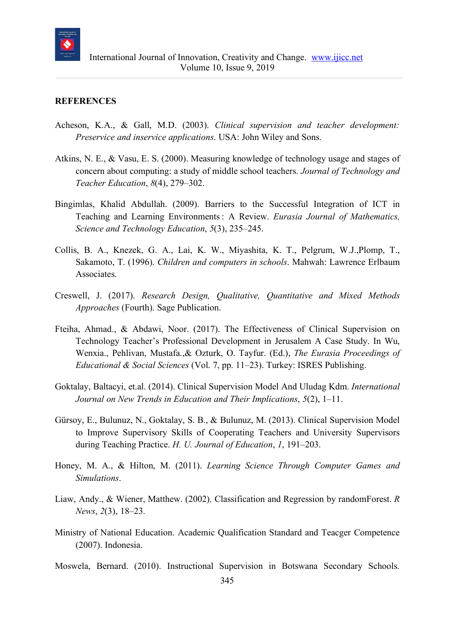

#### **REFERENCES**

- Acheson, K.A., & Gall, M.D. (2003). *Clinical supervision and teacher development: Preservice and inservice applications*. USA: John Wiley and Sons.
- Atkins, N. E., & Vasu, E. S. (2000). Measuring knowledge of technology usage and stages of concern about computing: a study of middle school teachers. *Journal of Technology and Teacher Education*, *8*(4), 279–302.
- Bingimlas, Khalid Abdullah. (2009). Barriers to the Successful Integration of ICT in Teaching and Learning Environments: A Review. *Eurasia Journal of Mathematics, Science and Technology Education*, *5*(3), 235–245.
- Collis, B. A., Knezek, G. A., Lai, K. W., Miyashita, K. T., Pelgrum, W.J.,Plomp, T., Sakamoto, T. (1996). *Children and computers in schools*. Mahwah: Lawrence Erlbaum Associates.
- Creswell, J. (2017). *Research Design, Qualitative, Quantitative and Mixed Methods Approaches* (Fourth). Sage Publication.
- Fteiha, Ahmad., & Abdawi, Noor. (2017). The Effectiveness of Clinical Supervision on Technology Teacher's Professional Development in Jerusalem A Case Study. In Wu, Wenxia., Pehlivan, Mustafa.,& Ozturk, O. Tayfur. (Ed.), *The Eurasia Proceedings of Educational & Social Sciences* (Vol. 7, pp. 11–23). Turkey: ISRES Publishing.
- Goktalay, Baltacyi, et.al. (2014). Clinical Supervision Model And Uludag Kdm. *International Journal on New Trends in Education and Their Implications*, *5*(2), 1–11.
- Gürsoy, E., Bulunuz, N., Goktalay, S. B., & Bulunuz, M. (2013). Clinical Supervision Model to Improve Supervisory Skills of Cooperating Teachers and University Supervisors during Teaching Practice. *H. U. Journal of Education*, *1*, 191–203.
- Honey, M. A., & Hilton, M. (2011). *Learning Science Through Computer Games and Simulations*.
- Liaw, Andy., & Wiener, Matthew. (2002). Classification and Regression by randomForest. *R News*, *2*(3), 18–23.
- Ministry of National Education. Academic Qualification Standard and Teacger Competence (2007). Indonesia.
- Moswela, Bernard. (2010). Instructional Supervision in Botswana Secondary Schools.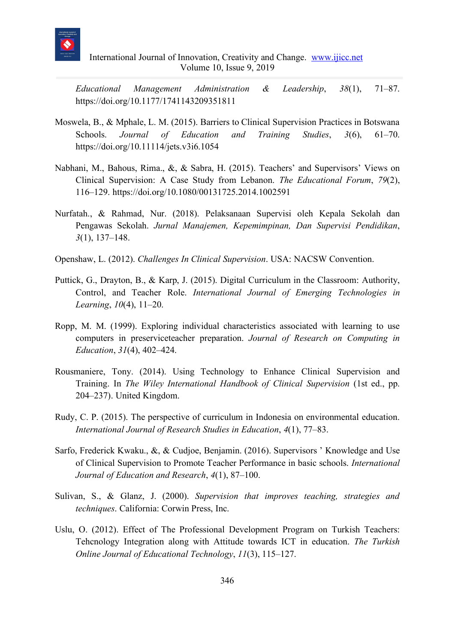

*Educational Management Administration & Leadership*, *38*(1), 71–87. https://doi.org/10.1177/1741143209351811

- Moswela, B., & Mphale, L. M. (2015). Barriers to Clinical Supervision Practices in Botswana Schools. *Journal of Education and Training Studies*, *3*(6), 61–70. https://doi.org/10.11114/jets.v3i6.1054
- Nabhani, M., Bahous, Rima., &, & Sabra, H. (2015). Teachers' and Supervisors' Views on Clinical Supervision: A Case Study from Lebanon. *The Educational Forum*, *79*(2), 116–129. https://doi.org/10.1080/00131725.2014.1002591
- Nurfatah., & Rahmad, Nur. (2018). Pelaksanaan Supervisi oleh Kepala Sekolah dan Pengawas Sekolah. *Jurnal Manajemen, Kepemimpinan, Dan Supervisi Pendidikan*, *3*(1), 137–148.
- Openshaw, L. (2012). *Challenges In Clinical Supervision*. USA: NACSW Convention.
- Puttick, G., Drayton, B., & Karp, J. (2015). Digital Curriculum in the Classroom: Authority, Control, and Teacher Role. *International Journal of Emerging Technologies in Learning*, *10*(4), 11–20.
- Ropp, M. M. (1999). Exploring individual characteristics associated with learning to use computers in preserviceteacher preparation. *Journal of Research on Computing in Education*, *31*(4), 402–424.
- Rousmaniere, Tony. (2014). Using Technology to Enhance Clinical Supervision and Training. In *The Wiley International Handbook of Clinical Supervision* (1st ed., pp. 204–237). United Kingdom.
- Rudy, C. P. (2015). The perspective of curriculum in Indonesia on environmental education. *International Journal of Research Studies in Education*, *4*(1), 77–83.
- Sarfo, Frederick Kwaku., &, & Cudjoe, Benjamin. (2016). Supervisors ' Knowledge and Use of Clinical Supervision to Promote Teacher Performance in basic schools. *International Journal of Education and Research*, *4*(1), 87–100.
- Sulivan, S., & Glanz, J. (2000). *Supervision that improves teaching, strategies and techniques*. California: Corwin Press, Inc.
- Uslu, O. (2012). Effect of The Professional Development Program on Turkish Teachers: Tehcnology Integration along with Attitude towards ICT in education. *The Turkish Online Journal of Educational Technology*, *11*(3), 115–127.